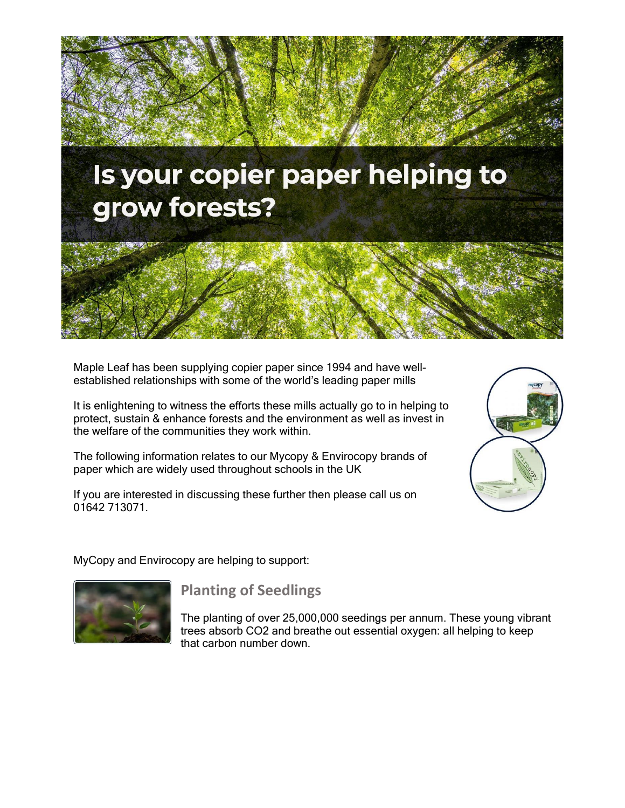

Maple Leaf has been supplying copier paper since 1994 and have wellestablished relationships with some of the world's leading paper mills

It is enlightening to witness the efforts these mills actually go to in helping to protect, sustain & enhance forests and the environment as well as invest in the welfare of the communities they work within.

The following information relates to our Mycopy & Envirocopy brands of paper which are widely used throughout schools in the UK

If you are interested in discussing these further then please call us on 01642 713071.



MyCopy and Envirocopy are helping to support:



#### **Planting of Seedlings**

The planting of over 25,000,000 seedings per annum. These young vibrant trees absorb CO2 and breathe out essential oxygen: all helping to keep that carbon number down.